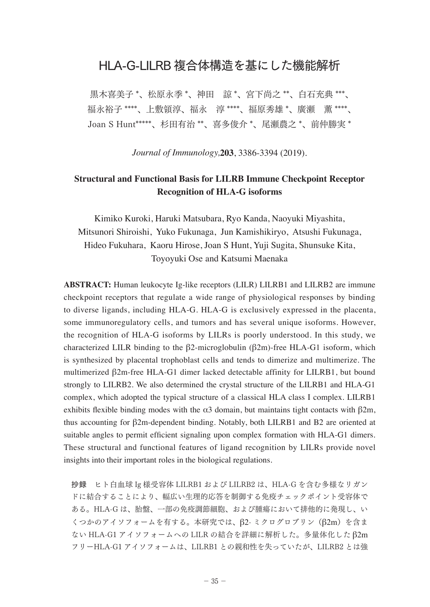## HLA-G-LILRB 複合体構造を基にした機能解析

黒木喜美子 \*、松原永季 \*、神田 諒 \*、宮下尚之 \*\*、白石充典 \*\*\*、 福永裕子 \*\*\*\*、上敷領淳、福永 淳 \*\*\*\*、福原秀雄 \*、廣瀬 薫 \*\*\*\*、 Joan S Hunt\*\*\*\*\*、杉田有治 \*\*、喜多俊介 \*、尾瀬農之 \*、前仲勝実 \*

*Journal of Immunology,***203**, 3386-3394 (2019).

## **Structural and Functional Basis for LILRB Immune Checkpoint Receptor Recognition of HLA-G isoforms**

Kimiko Kuroki, Haruki Matsubara, Ryo Kanda, Naoyuki Miyashita, Mitsunori Shiroishi, Yuko Fukunaga, Jun Kamishikiryo, Atsushi Fukunaga, Hideo Fukuhara, Kaoru Hirose, Joan S Hunt, Yuji Sugita, Shunsuke Kita, Toyoyuki Ose and Katsumi Maenaka

**ABSTRACT:** Human leukocyte Ig-like receptors (LILR) LILRB1 and LILRB2 are immune checkpoint receptors that regulate a wide range of physiological responses by binding to diverse ligands, including HLA-G. HLA-G is exclusively expressed in the placenta, some immunoregulatory cells, and tumors and has several unique isoforms. However, the recognition of HLA-G isoforms by LILRs is poorly understood. In this study, we characterized LILR binding to the β2-microglobulin (β2m)-free HLA-G1 isoform, which is synthesized by placental trophoblast cells and tends to dimerize and multimerize. The multimerized β2m-free HLA-G1 dimer lacked detectable affinity for LILRB1, but bound strongly to LILRB2. We also determined the crystal structure of the LILRB1 and HLA-G1 complex, which adopted the typical structure of a classical HLA class I complex. LILRB1 exhibits flexible binding modes with the  $\alpha$ 3 domain, but maintains tight contacts with  $\beta$ 2m, thus accounting for β2m-dependent binding. Notably, both LILRB1 and B2 are oriented at suitable angles to permit efficient signaling upon complex formation with HLA-G1 dimers. These structural and functional features of ligand recognition by LILRs provide novel insights into their important roles in the biological regulations.

抄録 ヒト白血球 Ig 様受容体 LILRB1 および LILRB2 は、HLA-G を含む多様なリガン ドに結合することにより、幅広い生理的応答を制御する免疫チェックポイント受容体で ある。HLA-G は、胎盤、一部の免疫調節細胞、および腫瘍において排他的に発現し、い くつかのアイソフォームを有する。本研究では、β2- ミクログロブリン(β2m)を含ま ない HLA-G1 アイソフォームへの LILR の結合を詳細に解析した。多量体化した β2m フリーHLA-G1 アイソフォームは、LILRB1 との親和性を失っていたが、LILRB2 とは強